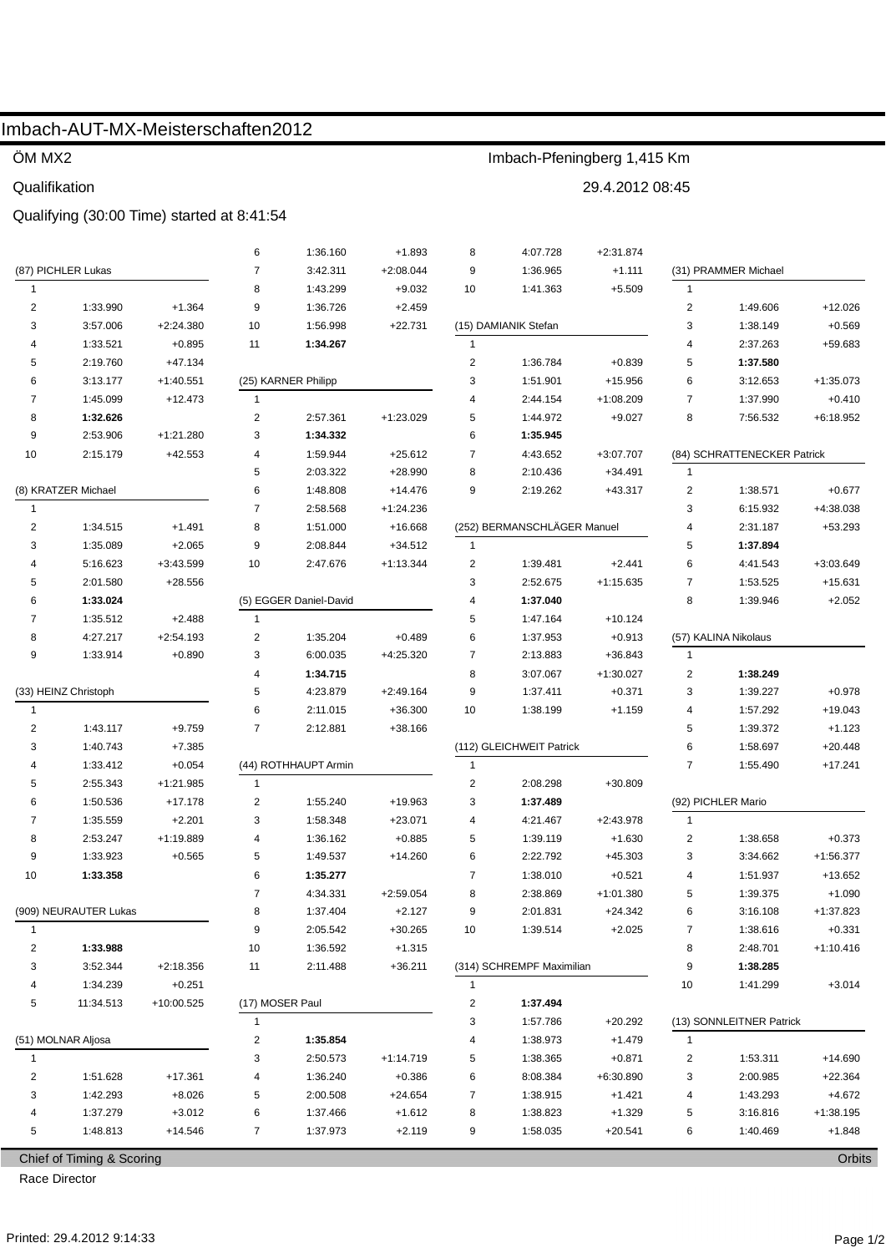# Imbach-AUT-MX-Meisterschaften2012

### ÖM MX2

#### Qualifikation

## Qualifying (30:00 Time) started at 8:41:54

|                       |                           |             | 6                       | 1:36.160               | $+1.893$    | 8                       | 4:07.728                    | $+2:31.874$ |                         |                             |             |
|-----------------------|---------------------------|-------------|-------------------------|------------------------|-------------|-------------------------|-----------------------------|-------------|-------------------------|-----------------------------|-------------|
| (87) PICHLER Lukas    |                           |             | $\overline{7}$          | 3:42.311               | $+2:08.044$ | 9                       | 1:36.965                    | $+1.111$    | (31) PRAMMER Michael    |                             |             |
| $\mathbf{1}$          |                           |             | 8                       | 1:43.299               | $+9.032$    | 10                      | 1:41.363                    | $+5.509$    | $\mathbf{1}$            |                             |             |
| $\overline{2}$        | 1:33.990                  | $+1.364$    | 9                       | 1:36.726               | $+2.459$    |                         |                             |             | $\overline{c}$          | 1:49.606                    | $+12.026$   |
| 3                     | 3:57.006                  | $+2:24.380$ | 10                      | 1:56.998               | $+22.731$   |                         | (15) DAMIANIK Stefan        |             | 3                       | 1:38.149                    | $+0.569$    |
| 4                     | 1:33.521                  | $+0.895$    | 11                      | 1:34.267               |             | $\overline{1}$          |                             |             | 4                       | 2:37.263                    | +59.683     |
| 5                     | 2:19.760                  | $+47.134$   |                         |                        |             | $\overline{\mathbf{c}}$ | 1:36.784                    | $+0.839$    | 5                       | 1:37.580                    |             |
| 6                     | 3:13.177                  | $+1:40.551$ |                         | (25) KARNER Philipp    |             | 3                       | 1:51.901                    | +15.956     | 6                       | 3:12.653                    | $+1:35.073$ |
| 7                     | 1:45.099                  | $+12.473$   | $\mathbf{1}$            |                        |             | 4                       | 2:44.154                    | $+1:08.209$ | 7                       | 1:37.990                    | $+0.410$    |
| 8                     | 1:32.626                  |             | 2                       | 2:57.361               | $+1:23.029$ | 5                       | 1:44.972                    | $+9.027$    | 8                       | 7:56.532                    | $+6:18.952$ |
| 9                     | 2:53.906                  | $+1:21.280$ | 3                       | 1:34.332               |             | 6                       | 1:35.945                    |             |                         |                             |             |
| 10                    | 2:15.179                  | +42.553     | 4                       | 1:59.944               | $+25.612$   | 7                       | 4:43.652                    | +3:07.707   |                         | (84) SCHRATTENECKER Patrick |             |
|                       |                           |             | 5                       | 2:03.322               | $+28.990$   | 8                       | 2:10.436                    | $+34.491$   | $\mathbf{1}$            |                             |             |
| (8) KRATZER Michael   |                           |             | 6                       | 1:48.808               | +14.476     | 9                       | 2:19.262                    | +43.317     | $\overline{\mathbf{c}}$ | 1:38.571                    | $+0.677$    |
| $\mathbf{1}$          |                           |             | $\overline{7}$          | 2:58.568               | $+1:24.236$ |                         |                             |             | 3                       | 6:15.932                    | +4:38.038   |
| $\overline{2}$        | 1:34.515                  | $+1.491$    | 8                       | 1:51.000               | +16.668     |                         | (252) BERMANSCHLÄGER Manuel |             | 4                       | 2:31.187                    | $+53.293$   |
| 3                     | 1:35.089                  | $+2.065$    | 9                       | 2:08.844               | $+34.512$   | $\overline{1}$          |                             |             | 5                       | 1:37.894                    |             |
| 4                     | 5:16.623                  | $+3:43.599$ | 10                      | 2:47.676               | $+1:13.344$ | $\overline{2}$          | 1:39.481                    | $+2.441$    | 6                       | 4:41.543                    | $+3:03.649$ |
| 5                     | 2:01.580                  | +28.556     |                         |                        |             | 3                       | 2:52.675                    | $+1:15.635$ | $\overline{7}$          | 1:53.525                    | $+15.631$   |
| 6                     | 1:33.024                  |             |                         | (5) EGGER Daniel-David |             | 1:37.040<br>4           |                             |             | 8                       | 1:39.946                    | $+2.052$    |
| 7                     | 1:35.512                  | $+2.488$    | $\mathbf{1}$            |                        |             | 5                       | 1:47.164                    | $+10.124$   |                         |                             |             |
| 8                     | 4:27.217                  | $+2:54.193$ | 2                       | 1:35.204               | $+0.489$    | 6                       | 1:37.953                    | $+0.913$    |                         | (57) KALINA Nikolaus        |             |
| 9                     | 1:33.914                  | $+0.890$    | 3                       | 6:00.035               | $+4:25.320$ | 7                       | 2:13.883                    | $+36.843$   | $\mathbf{1}$            |                             |             |
|                       |                           |             | $\overline{4}$          | 1:34.715               |             | 8                       | 3:07.067                    | $+1:30.027$ | $\overline{2}$          | 1:38.249                    |             |
| (33) HEINZ Christoph  |                           | 5           | 4:23.879                | $+2:49.164$            | 9           | 1:37.411                | $+0.371$                    | 3           | 1:39.227                | $+0.978$                    |             |
| $\mathbf{1}$          |                           |             | 6                       | 2:11.015               | $+36.300$   | 10                      | 1:38.199                    | $+1.159$    | 4                       | 1:57.292                    | $+19.043$   |
| $\overline{2}$        | 1:43.117                  | $+9.759$    | $\overline{7}$          | 2:12.881               | +38.166     |                         |                             |             | 5                       | 1:39.372                    | $+1.123$    |
| 3                     | 1:40.743                  | $+7.385$    |                         |                        |             |                         | (112) GLEICHWEIT Patrick    |             | 6                       | 1:58.697                    | $+20.448$   |
| 4                     | 1:33.412                  | $+0.054$    | (44) ROTHHAUPT Armin    |                        |             | $\mathbf{1}$            |                             |             | $\overline{7}$          | 1:55.490                    | $+17.241$   |
| 5                     | 2:55.343                  | +1:21.985   | 1                       |                        |             | $\overline{2}$          | 2:08.298                    | $+30.809$   |                         |                             |             |
| 6                     | 1:50.536                  | +17.178     | $\overline{2}$          | 1:55.240               | +19.963     | 3                       | 1:37.489                    |             |                         | (92) PICHLER Mario          |             |
| 7                     | 1:35.559                  | $+2.201$    | 3                       | 1:58.348               | $+23.071$   | 4                       | 4:21.467                    | $+2:43.978$ | $\mathbf{1}$            |                             |             |
| 8                     | 2:53.247                  | +1:19.889   | $\overline{\mathbf{4}}$ | 1:36.162               | $+0.885$    | 5                       | 1:39.119                    | $+1.630$    | $\overline{c}$          | 1:38.658                    | $+0.373$    |
| 9                     | 1:33.923                  | $+0.565$    | 5                       | 1:49.537               | $+14.260$   | 6                       | 2:22.792                    | +45.303     | 3                       | 3:34.662                    | $+1:56.377$ |
| 10                    | 1:33.358                  |             | 6                       | 1:35.277               |             | 7                       | 1:38.010                    | $+0.521$    | 4                       | 1:51.937                    | +13.652     |
|                       |                           |             | $\overline{7}$          | 4:34.331               | $+2:59.054$ | 8                       | 2:38.869                    | $+1:01.380$ | 5                       | 1:39.375                    | $+1.090$    |
| (909) NEURAUTER Lukas |                           |             | 8                       | 1:37.404               | $+2.127$    | 9                       | 2:01.831                    | $+24.342$   | 6                       | 3:16.108                    | +1:37.823   |
| $\mathbf{1}$          |                           | 9           | 2:05.542                | $+30.265$              | 10          | 1:39.514                | $+2.025$                    | 7           | 1:38.616                | $+0.331$                    |             |
| 2                     | 1:33.988                  |             | 10                      | 1:36.592               | $+1.315$    |                         |                             |             | 8                       | 2:48.701                    | $+1:10.416$ |
| 3                     | 3:52.344                  | $+2:18.356$ | 11                      | 2:11.488               | $+36.211$   |                         | (314) SCHREMPF Maximilian   |             | 9                       | 1:38.285                    |             |
| 4                     | 1:34.239                  | $+0.251$    |                         |                        |             | $\mathbf{1}$            |                             |             | 10                      | 1:41.299                    | $+3.014$    |
| 5                     | 11:34.513                 | +10:00.525  | (17) MOSER Paul         |                        |             | 2                       | 1:37.494                    |             |                         |                             |             |
|                       |                           |             | 1                       |                        |             | 3                       | 1:57.786                    | $+20.292$   |                         | (13) SONNLEITNER Patrick    |             |
| (51) MOLNAR Aljosa    |                           |             | 2                       | 1:35.854               |             | 4                       | 1:38.973                    | $+1.479$    | $\mathbf{1}$            |                             |             |
| 1                     |                           |             | 3                       | 2:50.573               | $+1:14.719$ | 5                       | 1:38.365                    | $+0.871$    | 2                       | 1:53.311                    | $+14.690$   |
| 2                     | 1:51.628                  | +17.361     | 4                       | 1:36.240               | $+0.386$    | 6                       | 8:08.384                    | $+6:30.890$ | 3                       | 2:00.985                    | $+22.364$   |
| 3                     | 1:42.293                  | $+8.026$    | 5                       | 2:00.508               | $+24.654$   | 7                       | 1:38.915                    | $+1.421$    | 4                       | 1:43.293                    | $+4.672$    |
| 4                     | 1:37.279                  | $+3.012$    | 6                       | 1:37.466               | $+1.612$    | 8                       | 1:38.823                    | $+1.329$    | 5                       | 3:16.816                    | $+1:38.195$ |
| 5                     | 1:48.813                  | +14.546     | $\overline{7}$          | 1:37.973               | $+2.119$    | 9                       | 1:58.035                    | $+20.541$   | 6                       | 1:40.469                    | $+1.848$    |
|                       |                           |             |                         |                        |             |                         |                             |             |                         |                             |             |
|                       | Chief of Timing & Scoring |             |                         |                        |             |                         |                             |             |                         |                             | Orbits      |

Imbach-Pfeningberg 1,415 Km

29.4.2012 08:45

Chief of Timing & Scoring

Race Director